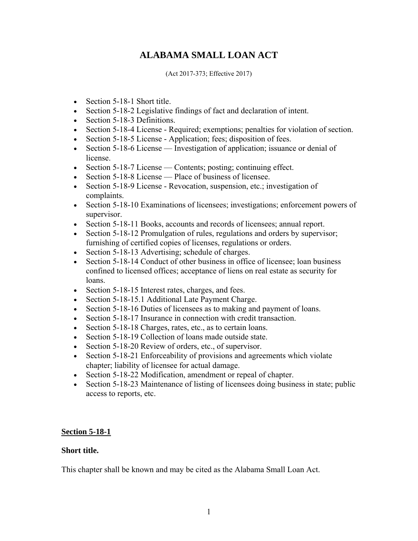# **ALABAMA SMALL LOAN ACT**

(Act 2017-373; Effective 2017)

- Section 5-18-1 Short title.
- Section 5-18-2 Legislative findings of fact and declaration of intent.
- Section 5-18-3 Definitions.
- Section 5-18-4 License Required; exemptions; penalties for violation of section.
- Section 5-18-5 License Application; fees; disposition of fees.
- Section 5-18-6 License Investigation of application; issuance or denial of license.
- Section 5-18-7 License Contents; posting; continuing effect.
- Section 5-18-8 License Place of business of licensee.
- Section 5-18-9 License Revocation, suspension, etc.; investigation of complaints.
- Section 5-18-10 Examinations of licensees; investigations; enforcement powers of supervisor.
- Section 5-18-11 Books, accounts and records of licensees; annual report.
- Section 5-18-12 Promulgation of rules, regulations and orders by supervisor; furnishing of certified copies of licenses, regulations or orders.
- Section 5-18-13 Advertising; schedule of charges.
- Section 5-18-14 Conduct of other business in office of licensee; loan business confined to licensed offices; acceptance of liens on real estate as security for loans.
- Section 5-18-15 Interest rates, charges, and fees.
- Section 5-18-15.1 Additional Late Payment Charge.
- Section 5-18-16 Duties of licensees as to making and payment of loans.
- Section 5-18-17 Insurance in connection with credit transaction.
- Section 5-18-18 Charges, rates, etc., as to certain loans.
- Section 5-18-19 Collection of loans made outside state.
- Section 5-18-20 Review of orders, etc., of supervisor.
- Section 5-18-21 Enforceability of provisions and agreements which violate chapter; liability of licensee for actual damage.
- Section 5-18-22 Modification, amendment or repeal of chapter.
- Section 5-18-23 Maintenance of listing of licensees doing business in state; public access to reports, etc.

## **Section 5-18-1**

## **Short title.**

This chapter shall be known and may be cited as the Alabama Small Loan Act.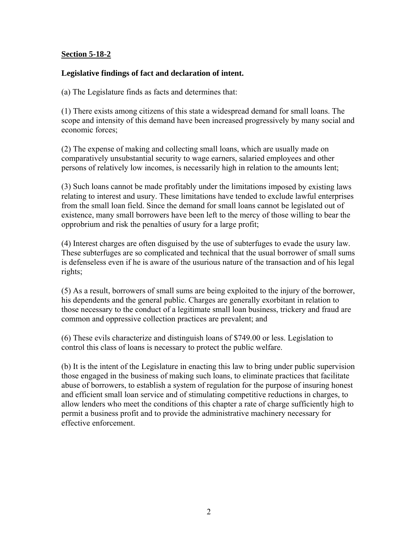### **Legislative findings of fact and declaration of intent.**

(a) The Legislature finds as facts and determines that:

(1) There exists among citizens of this state a widespread demand for small loans. The scope and intensity of this demand have been increased progressively by many social and economic forces;

(2) The expense of making and collecting small loans, which are usually made on comparatively unsubstantial security to wage earners, salaried employees and other persons of relatively low incomes, is necessarily high in relation to the amounts lent;

(3) Such loans cannot be made profitably under the limitations imposed by existing laws relating to interest and usury. These limitations have tended to exclude lawful enterprises from the small loan field. Since the demand for small loans cannot be legislated out of existence, many small borrowers have been left to the mercy of those willing to bear the opprobrium and risk the penalties of usury for a large profit;

(4) Interest charges are often disguised by the use of subterfuges to evade the usury law. These subterfuges are so complicated and technical that the usual borrower of small sums is defenseless even if he is aware of the usurious nature of the transaction and of his legal rights;

(5) As a result, borrowers of small sums are being exploited to the injury of the borrower, his dependents and the general public. Charges are generally exorbitant in relation to those necessary to the conduct of a legitimate small loan business, trickery and fraud are common and oppressive collection practices are prevalent; and

(6) These evils characterize and distinguish loans of \$749.00 or less. Legislation to control this class of loans is necessary to protect the public welfare.

(b) It is the intent of the Legislature in enacting this law to bring under public supervision those engaged in the business of making such loans, to eliminate practices that facilitate abuse of borrowers, to establish a system of regulation for the purpose of insuring honest and efficient small loan service and of stimulating competitive reductions in charges, to allow lenders who meet the conditions of this chapter a rate of charge sufficiently high to permit a business profit and to provide the administrative machinery necessary for effective enforcement.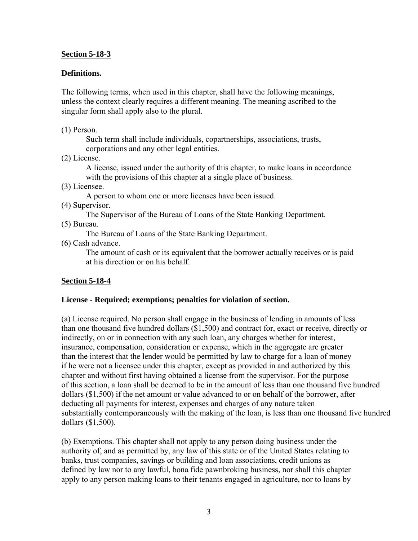### **Definitions.**

The following terms, when used in this chapter, shall have the following meanings, unless the context clearly requires a different meaning. The meaning ascribed to the singular form shall apply also to the plural.

(1) Person.

Such term shall include individuals, copartnerships, associations, trusts, corporations and any other legal entities.

(2) License.

A license, issued under the authority of this chapter, to make loans in accordance with the provisions of this chapter at a single place of business.

(3) Licensee.

A person to whom one or more licenses have been issued.

(4) Supervisor.

The Supervisor of the Bureau of Loans of the State Banking Department.

(5) Bureau.

The Bureau of Loans of the State Banking Department.

(6) Cash advance.

The amount of cash or its equivalent that the borrower actually receives or is paid at his direction or on his behalf.

## **Section 5-18-4**

#### **License - Required; exemptions; penalties for violation of section.**

(a) License required. No person shall engage in the business of lending in amounts of less than one thousand five hundred dollars (\$1,500) and contract for, exact or receive, directly or indirectly, on or in connection with any such loan, any charges whether for interest, insurance, compensation, consideration or expense, which in the aggregate are greater than the interest that the lender would be permitted by law to charge for a loan of money if he were not a licensee under this chapter, except as provided in and authorized by this chapter and without first having obtained a license from the supervisor. For the purpose of this section, a loan shall be deemed to be in the amount of less than one thousand five hundred dollars (\$1,500) if the net amount or value advanced to or on behalf of the borrower, after deducting all payments for interest, expenses and charges of any nature taken substantially contemporaneously with the making of the loan, is less than one thousand five hundred dollars (\$1,500).

(b) Exemptions. This chapter shall not apply to any person doing business under the authority of, and as permitted by, any law of this state or of the United States relating to banks, trust companies, savings or building and loan associations, credit unions as defined by law nor to any lawful, bona fide pawnbroking business, nor shall this chapter apply to any person making loans to their tenants engaged in agriculture, nor to loans by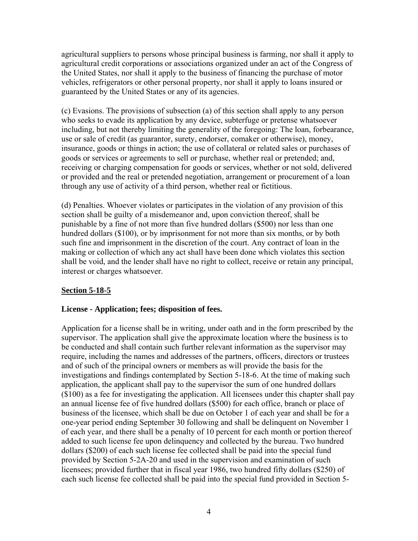agricultural suppliers to persons whose principal business is farming, nor shall it apply to agricultural credit corporations or associations organized under an act of the Congress of the United States, nor shall it apply to the business of financing the purchase of motor vehicles, refrigerators or other personal property, nor shall it apply to loans insured or guaranteed by the United States or any of its agencies.

(c) Evasions. The provisions of subsection (a) of this section shall apply to any person who seeks to evade its application by any device, subterfuge or pretense whatsoever including, but not thereby limiting the generality of the foregoing: The loan, forbearance, use or sale of credit (as guarantor, surety, endorser, comaker or otherwise), money, insurance, goods or things in action; the use of collateral or related sales or purchases of goods or services or agreements to sell or purchase, whether real or pretended; and, receiving or charging compensation for goods or services, whether or not sold, delivered or provided and the real or pretended negotiation, arrangement or procurement of a loan through any use of activity of a third person, whether real or fictitious.

(d) Penalties. Whoever violates or participates in the violation of any provision of this section shall be guilty of a misdemeanor and, upon conviction thereof, shall be punishable by a fine of not more than five hundred dollars (\$500) nor less than one hundred dollars (\$100), or by imprisonment for not more than six months, or by both such fine and imprisonment in the discretion of the court. Any contract of loan in the making or collection of which any act shall have been done which violates this section shall be void, and the lender shall have no right to collect, receive or retain any principal, interest or charges whatsoever.

## **Section 5-18-5**

#### **License - Application; fees; disposition of fees.**

Application for a license shall be in writing, under oath and in the form prescribed by the supervisor. The application shall give the approximate location where the business is to be conducted and shall contain such further relevant information as the supervisor may require, including the names and addresses of the partners, officers, directors or trustees and of such of the principal owners or members as will provide the basis for the investigations and findings contemplated by Section 5-18-6. At the time of making such application, the applicant shall pay to the supervisor the sum of one hundred dollars (\$100) as a fee for investigating the application. All licensees under this chapter shall pay an annual license fee of five hundred dollars (\$500) for each office, branch or place of business of the licensee, which shall be due on October 1 of each year and shall be for a one-year period ending September 30 following and shall be delinquent on November 1 of each year, and there shall be a penalty of 10 percent for each month or portion thereof added to such license fee upon delinquency and collected by the bureau. Two hundred dollars (\$200) of each such license fee collected shall be paid into the special fund provided by Section 5-2A-20 and used in the supervision and examination of such licensees; provided further that in fiscal year 1986, two hundred fifty dollars (\$250) of each such license fee collected shall be paid into the special fund provided in Section 5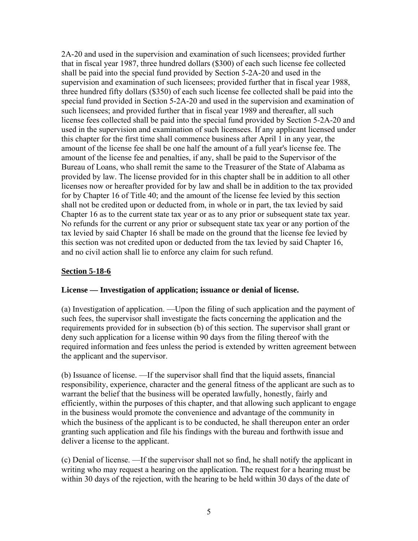2A-20 and used in the supervision and examination of such licensees; provided further that in fiscal year 1987, three hundred dollars (\$300) of each such license fee collected shall be paid into the special fund provided by Section 5-2A-20 and used in the supervision and examination of such licensees; provided further that in fiscal year 1988, three hundred fifty dollars (\$350) of each such license fee collected shall be paid into the special fund provided in Section 5-2A-20 and used in the supervision and examination of such licensees; and provided further that in fiscal year 1989 and thereafter, all such license fees collected shall be paid into the special fund provided by Section 5-2A-20 and used in the supervision and examination of such licensees. If any applicant licensed under this chapter for the first time shall commence business after April 1 in any year, the amount of the license fee shall be one half the amount of a full year's license fee. The amount of the license fee and penalties, if any, shall be paid to the Supervisor of the Bureau of Loans, who shall remit the same to the Treasurer of the State of Alabama as provided by law. The license provided for in this chapter shall be in addition to all other licenses now or hereafter provided for by law and shall be in addition to the tax provided for by Chapter 16 of Title 40; and the amount of the license fee levied by this section shall not be credited upon or deducted from, in whole or in part, the tax levied by said Chapter 16 as to the current state tax year or as to any prior or subsequent state tax year. No refunds for the current or any prior or subsequent state tax year or any portion of the tax levied by said Chapter 16 shall be made on the ground that the license fee levied by this section was not credited upon or deducted from the tax levied by said Chapter 16, and no civil action shall lie to enforce any claim for such refund.

## **Section 5-18-6**

## **License — Investigation of application; issuance or denial of license.**

(a) Investigation of application. —Upon the filing of such application and the payment of such fees, the supervisor shall investigate the facts concerning the application and the requirements provided for in subsection (b) of this section. The supervisor shall grant or deny such application for a license within 90 days from the filing thereof with the required information and fees unless the period is extended by written agreement between the applicant and the supervisor.

(b) Issuance of license. —If the supervisor shall find that the liquid assets, financial responsibility, experience, character and the general fitness of the applicant are such as to warrant the belief that the business will be operated lawfully, honestly, fairly and efficiently, within the purposes of this chapter, and that allowing such applicant to engage in the business would promote the convenience and advantage of the community in which the business of the applicant is to be conducted, he shall thereupon enter an order granting such application and file his findings with the bureau and forthwith issue and deliver a license to the applicant.

(c) Denial of license. —If the supervisor shall not so find, he shall notify the applicant in writing who may request a hearing on the application. The request for a hearing must be within 30 days of the rejection, with the hearing to be held within 30 days of the date of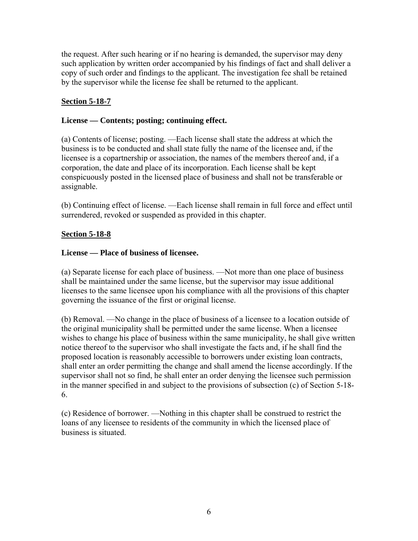the request. After such hearing or if no hearing is demanded, the supervisor may deny such application by written order accompanied by his findings of fact and shall deliver a copy of such order and findings to the applicant. The investigation fee shall be retained by the supervisor while the license fee shall be returned to the applicant.

## **Section 5-18-7**

### **License — Contents; posting; continuing effect.**

(a) Contents of license; posting. —Each license shall state the address at which the business is to be conducted and shall state fully the name of the licensee and, if the licensee is a copartnership or association, the names of the members thereof and, if a corporation, the date and place of its incorporation. Each license shall be kept conspicuously posted in the licensed place of business and shall not be transferable or assignable.

(b) Continuing effect of license. —Each license shall remain in full force and effect until surrendered, revoked or suspended as provided in this chapter.

### **Section 5-18-8**

### **License — Place of business of licensee.**

(a) Separate license for each place of business. —Not more than one place of business shall be maintained under the same license, but the supervisor may issue additional licenses to the same licensee upon his compliance with all the provisions of this chapter governing the issuance of the first or original license.

(b) Removal. —No change in the place of business of a licensee to a location outside of the original municipality shall be permitted under the same license. When a licensee wishes to change his place of business within the same municipality, he shall give written notice thereof to the supervisor who shall investigate the facts and, if he shall find the proposed location is reasonably accessible to borrowers under existing loan contracts, shall enter an order permitting the change and shall amend the license accordingly. If the supervisor shall not so find, he shall enter an order denying the licensee such permission in the manner specified in and subject to the provisions of subsection (c) of Section 5-18- 6.

(c) Residence of borrower. —Nothing in this chapter shall be construed to restrict the loans of any licensee to residents of the community in which the licensed place of business is situated.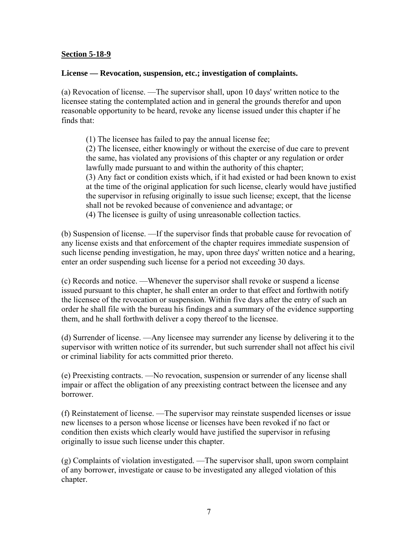### **License — Revocation, suspension, etc.; investigation of complaints.**

(a) Revocation of license. —The supervisor shall, upon 10 days' written notice to the licensee stating the contemplated action and in general the grounds therefor and upon reasonable opportunity to be heard, revoke any license issued under this chapter if he finds that:

(1) The licensee has failed to pay the annual license fee; (2) The licensee, either knowingly or without the exercise of due care to prevent the same, has violated any provisions of this chapter or any regulation or order lawfully made pursuant to and within the authority of this chapter; (3) Any fact or condition exists which, if it had existed or had been known to exist at the time of the original application for such license, clearly would have justified the supervisor in refusing originally to issue such license; except, that the license shall not be revoked because of convenience and advantage; or (4) The licensee is guilty of using unreasonable collection tactics.

(b) Suspension of license. —If the supervisor finds that probable cause for revocation of any license exists and that enforcement of the chapter requires immediate suspension of such license pending investigation, he may, upon three days' written notice and a hearing, enter an order suspending such license for a period not exceeding 30 days.

(c) Records and notice. —Whenever the supervisor shall revoke or suspend a license issued pursuant to this chapter, he shall enter an order to that effect and forthwith notify the licensee of the revocation or suspension. Within five days after the entry of such an order he shall file with the bureau his findings and a summary of the evidence supporting them, and he shall forthwith deliver a copy thereof to the licensee.

(d) Surrender of license. —Any licensee may surrender any license by delivering it to the supervisor with written notice of its surrender, but such surrender shall not affect his civil or criminal liability for acts committed prior thereto.

(e) Preexisting contracts. —No revocation, suspension or surrender of any license shall impair or affect the obligation of any preexisting contract between the licensee and any borrower.

(f) Reinstatement of license. —The supervisor may reinstate suspended licenses or issue new licenses to a person whose license or licenses have been revoked if no fact or condition then exists which clearly would have justified the supervisor in refusing originally to issue such license under this chapter.

(g) Complaints of violation investigated. —The supervisor shall, upon sworn complaint of any borrower, investigate or cause to be investigated any alleged violation of this chapter.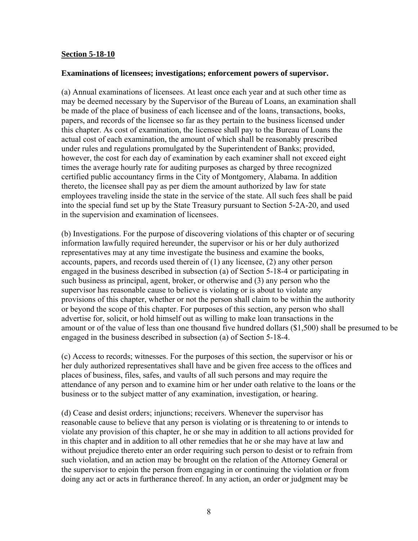#### **Examinations of licensees; investigations; enforcement powers of supervisor.**

(a) Annual examinations of licensees. At least once each year and at such other time as may be deemed necessary by the Supervisor of the Bureau of Loans, an examination shall be made of the place of business of each licensee and of the loans, transactions, books, papers, and records of the licensee so far as they pertain to the business licensed under this chapter. As cost of examination, the licensee shall pay to the Bureau of Loans the actual cost of each examination, the amount of which shall be reasonably prescribed under rules and regulations promulgated by the Superintendent of Banks; provided, however, the cost for each day of examination by each examiner shall not exceed eight times the average hourly rate for auditing purposes as charged by three recognized certified public accountancy firms in the City of Montgomery, Alabama. In addition thereto, the licensee shall pay as per diem the amount authorized by law for state employees traveling inside the state in the service of the state. All such fees shall be paid into the special fund set up by the State Treasury pursuant to Section 5-2A-20, and used in the supervision and examination of licensees.

(b) Investigations. For the purpose of discovering violations of this chapter or of securing information lawfully required hereunder, the supervisor or his or her duly authorized representatives may at any time investigate the business and examine the books, accounts, papers, and records used therein of (1) any licensee, (2) any other person engaged in the business described in subsection (a) of Section 5-18-4 or participating in such business as principal, agent, broker, or otherwise and (3) any person who the supervisor has reasonable cause to believe is violating or is about to violate any provisions of this chapter, whether or not the person shall claim to be within the authority or beyond the scope of this chapter. For purposes of this section, any person who shall advertise for, solicit, or hold himself out as willing to make loan transactions in the amount or of the value of less than one thousand five hundred dollars (\$1,500) shall be presumed to be engaged in the business described in subsection (a) of Section 5-18-4.

(c) Access to records; witnesses. For the purposes of this section, the supervisor or his or her duly authorized representatives shall have and be given free access to the offices and places of business, files, safes, and vaults of all such persons and may require the attendance of any person and to examine him or her under oath relative to the loans or the business or to the subject matter of any examination, investigation, or hearing.

(d) Cease and desist orders; injunctions; receivers. Whenever the supervisor has reasonable cause to believe that any person is violating or is threatening to or intends to violate any provision of this chapter, he or she may in addition to all actions provided for in this chapter and in addition to all other remedies that he or she may have at law and without prejudice thereto enter an order requiring such person to desist or to refrain from such violation, and an action may be brought on the relation of the Attorney General or the supervisor to enjoin the person from engaging in or continuing the violation or from doing any act or acts in furtherance thereof. In any action, an order or judgment may be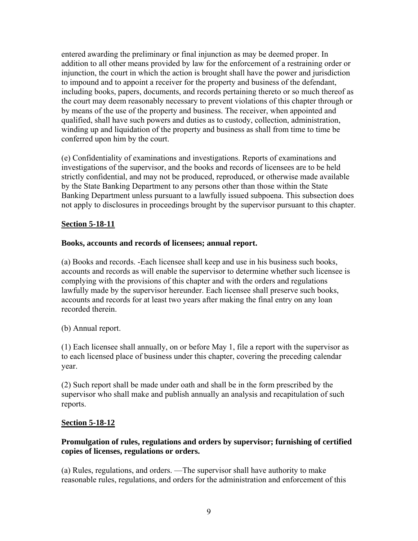entered awarding the preliminary or final injunction as may be deemed proper. In addition to all other means provided by law for the enforcement of a restraining order or injunction, the court in which the action is brought shall have the power and jurisdiction to impound and to appoint a receiver for the property and business of the defendant, including books, papers, documents, and records pertaining thereto or so much thereof as the court may deem reasonably necessary to prevent violations of this chapter through or by means of the use of the property and business. The receiver, when appointed and qualified, shall have such powers and duties as to custody, collection, administration, winding up and liquidation of the property and business as shall from time to time be conferred upon him by the court.

(e) Confidentiality of examinations and investigations. Reports of examinations and investigations of the supervisor, and the books and records of licensees are to be held strictly confidential, and may not be produced, reproduced, or otherwise made available by the State Banking Department to any persons other than those within the State Banking Department unless pursuant to a lawfully issued subpoena. This subsection does not apply to disclosures in proceedings brought by the supervisor pursuant to this chapter.

## **Section 5-18-11**

#### **Books, accounts and records of licensees; annual report.**

(a) Books and records. -Each licensee shall keep and use in his business such books, accounts and records as will enable the supervisor to determine whether such licensee is complying with the provisions of this chapter and with the orders and regulations lawfully made by the supervisor hereunder. Each licensee shall preserve such books, accounts and records for at least two years after making the final entry on any loan recorded therein.

(b) Annual report.

(1) Each licensee shall annually, on or before May 1, file a report with the supervisor as to each licensed place of business under this chapter, covering the preceding calendar year.

(2) Such report shall be made under oath and shall be in the form prescribed by the supervisor who shall make and publish annually an analysis and recapitulation of such reports.

#### **Section 5-18-12**

## **Promulgation of rules, regulations and orders by supervisor; furnishing of certified copies of licenses, regulations or orders.**

(a) Rules, regulations, and orders. —The supervisor shall have authority to make reasonable rules, regulations, and orders for the administration and enforcement of this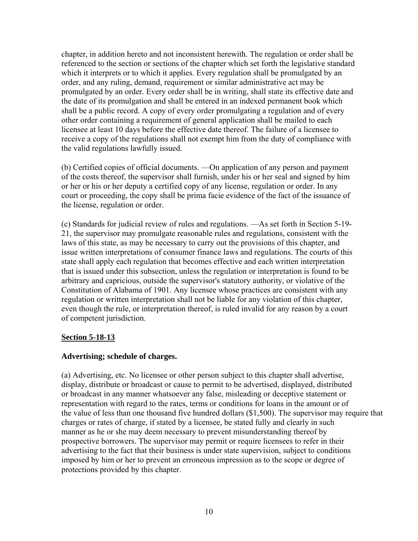chapter, in addition hereto and not inconsistent herewith. The regulation or order shall be referenced to the section or sections of the chapter which set forth the legislative standard which it interprets or to which it applies. Every regulation shall be promulgated by an order, and any ruling, demand, requirement or similar administrative act may be promulgated by an order. Every order shall be in writing, shall state its effective date and the date of its promulgation and shall be entered in an indexed permanent book which shall be a public record. A copy of every order promulgating a regulation and of every other order containing a requirement of general application shall be mailed to each licensee at least 10 days before the effective date thereof. The failure of a licensee to receive a copy of the regulations shall not exempt him from the duty of compliance with the valid regulations lawfully issued.

(b) Certified copies of official documents. —On application of any person and payment of the costs thereof, the supervisor shall furnish, under his or her seal and signed by him or her or his or her deputy a certified copy of any license, regulation or order. In any court or proceeding, the copy shall be prima facie evidence of the fact of the issuance of the license, regulation or order.

(c) Standards for judicial review of rules and regulations. —As set forth in Section 5-19- 21, the supervisor may promulgate reasonable rules and regulations, consistent with the laws of this state, as may be necessary to carry out the provisions of this chapter, and issue written interpretations of consumer finance laws and regulations. The courts of this state shall apply each regulation that becomes effective and each written interpretation that is issued under this subsection, unless the regulation or interpretation is found to be arbitrary and capricious, outside the supervisor's statutory authority, or violative of the Constitution of Alabama of 1901. Any licensee whose practices are consistent with any regulation or written interpretation shall not be liable for any violation of this chapter, even though the rule, or interpretation thereof, is ruled invalid for any reason by a court of competent jurisdiction.

## **Section 5-18-13**

#### **Advertising; schedule of charges.**

(a) Advertising, etc. No licensee or other person subject to this chapter shall advertise, display, distribute or broadcast or cause to permit to be advertised, displayed, distributed or broadcast in any manner whatsoever any false, misleading or deceptive statement or representation with regard to the rates, terms or conditions for loans in the amount or of the value of less than one thousand five hundred dollars (\$1,500). The supervisor may require that charges or rates of charge, if stated by a licensee, be stated fully and clearly in such manner as he or she may deem necessary to prevent misunderstanding thereof by prospective borrowers. The supervisor may permit or require licensees to refer in their advertising to the fact that their business is under state supervision, subject to conditions imposed by him or her to prevent an erroneous impression as to the scope or degree of protections provided by this chapter.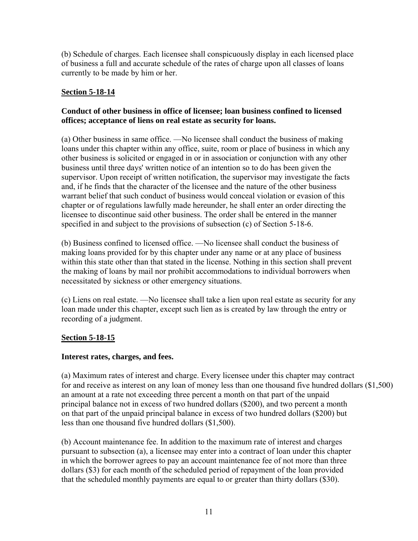(b) Schedule of charges. Each licensee shall conspicuously display in each licensed place of business a full and accurate schedule of the rates of charge upon all classes of loans currently to be made by him or her.

## **Section 5-18-14**

## **Conduct of other business in office of licensee; loan business confined to licensed offices; acceptance of liens on real estate as security for loans.**

(a) Other business in same office. —No licensee shall conduct the business of making loans under this chapter within any office, suite, room or place of business in which any other business is solicited or engaged in or in association or conjunction with any other business until three days' written notice of an intention so to do has been given the supervisor. Upon receipt of written notification, the supervisor may investigate the facts and, if he finds that the character of the licensee and the nature of the other business warrant belief that such conduct of business would conceal violation or evasion of this chapter or of regulations lawfully made hereunder, he shall enter an order directing the licensee to discontinue said other business. The order shall be entered in the manner specified in and subject to the provisions of subsection (c) of Section 5-18-6.

(b) Business confined to licensed office. —No licensee shall conduct the business of making loans provided for by this chapter under any name or at any place of business within this state other than that stated in the license. Nothing in this section shall prevent the making of loans by mail nor prohibit accommodations to individual borrowers when necessitated by sickness or other emergency situations.

(c) Liens on real estate. —No licensee shall take a lien upon real estate as security for any loan made under this chapter, except such lien as is created by law through the entry or recording of a judgment.

## **Section 5-18-15**

## **Interest rates, charges, and fees.**

(a) Maximum rates of interest and charge. Every licensee under this chapter may contract for and receive as interest on any loan of money less than one thousand five hundred dollars (\$1,500) an amount at a rate not exceeding three percent a month on that part of the unpaid principal balance not in excess of two hundred dollars (\$200), and two percent a month on that part of the unpaid principal balance in excess of two hundred dollars (\$200) but less than one thousand five hundred dollars (\$1,500).

(b) Account maintenance fee. In addition to the maximum rate of interest and charges pursuant to subsection (a), a licensee may enter into a contract of loan under this chapter in which the borrower agrees to pay an account maintenance fee of not more than three dollars (\$3) for each month of the scheduled period of repayment of the loan provided that the scheduled monthly payments are equal to or greater than thirty dollars (\$30).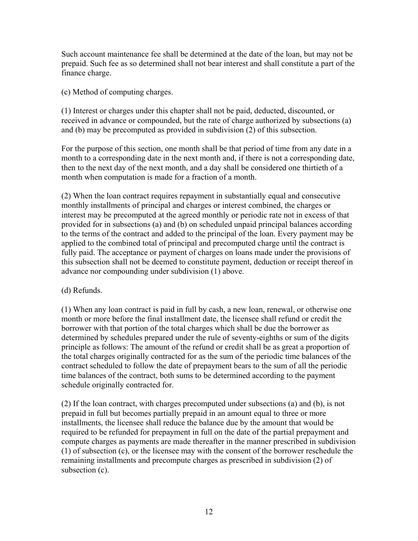Such account maintenance fee shall be determined at the date of the loan, but may not be prepaid. Such fee as so determined shall not bear interest and shall constitute a part of the finance charge.

(c) Method of computing charges.

(1) Interest or charges under this chapter shall not be paid, deducted, discounted, or received in advance or compounded, but the rate of charge authorized by subsections (a) and (b) may be precomputed as provided in subdivision (2) of this subsection.

For the purpose of this section, one month shall be that period of time from any date in a month to a corresponding date in the next month and, if there is not a corresponding date, then to the next day of the next month, and a day shall be considered one thirtieth of a month when computation is made for a fraction of a month.

(2) When the loan contract requires repayment in substantially equal and consecutive monthly installments of principal and charges or interest combined, the charges or interest may be precomputed at the agreed monthly or periodic rate not in excess of that provided for in subsections (a) and (b) on scheduled unpaid principal balances according to the terms of the contract and added to the principal of the loan. Every payment may be applied to the combined total of principal and precomputed charge until the contract is fully paid. The acceptance or payment of charges on loans made under the provisions of this subsection shall not be deemed to constitute payment, deduction or receipt thereof in advance nor compounding under subdivision (1) above.

## (d) Refunds.

(1) When any loan contract is paid in full by cash, a new loan, renewal, or otherwise one month or more before the final installment date, the licensee shall refund or credit the borrower with that portion of the total charges which shall be due the borrower as determined by schedules prepared under the rule of seventy-eighths or sum of the digits principle as follows: The amount of the refund or credit shall be as great a proportion of the total charges originally contracted for as the sum of the periodic time balances of the contract scheduled to follow the date of prepayment bears to the sum of all the periodic time balances of the contract, both sums to be determined according to the payment schedule originally contracted for.

(2) If the loan contract, with charges precomputed under subsections (a) and (b), is not prepaid in full but becomes partially prepaid in an amount equal to three or more installments, the licensee shall reduce the balance due by the amount that would be required to be refunded for prepayment in full on the date of the partial prepayment and compute charges as payments are made thereafter in the manner prescribed in subdivision (1) of subsection (c), or the licensee may with the consent of the borrower reschedule the remaining installments and precompute charges as prescribed in subdivision (2) of subsection (c).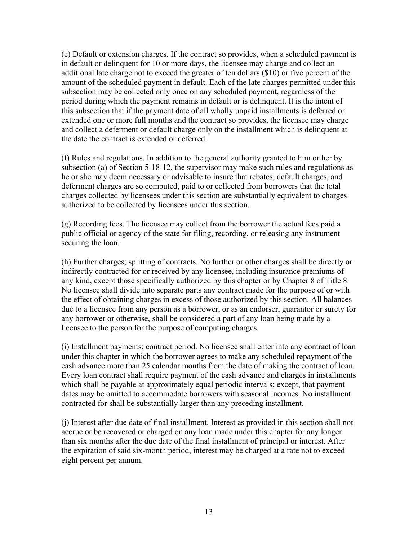(e) Default or extension charges. If the contract so provides, when a scheduled payment is in default or delinquent for 10 or more days, the licensee may charge and collect an additional late charge not to exceed the greater of ten dollars (\$10) or five percent of the amount of the scheduled payment in default. Each of the late charges permitted under this subsection may be collected only once on any scheduled payment, regardless of the period during which the payment remains in default or is delinquent. It is the intent of this subsection that if the payment date of all wholly unpaid installments is deferred or extended one or more full months and the contract so provides, the licensee may charge and collect a deferment or default charge only on the installment which is delinquent at the date the contract is extended or deferred.

(f) Rules and regulations. In addition to the general authority granted to him or her by subsection (a) of Section 5-18-12, the supervisor may make such rules and regulations as he or she may deem necessary or advisable to insure that rebates, default charges, and deferment charges are so computed, paid to or collected from borrowers that the total charges collected by licensees under this section are substantially equivalent to charges authorized to be collected by licensees under this section.

(g) Recording fees. The licensee may collect from the borrower the actual fees paid a public official or agency of the state for filing, recording, or releasing any instrument securing the loan.

(h) Further charges; splitting of contracts. No further or other charges shall be directly or indirectly contracted for or received by any licensee, including insurance premiums of any kind, except those specifically authorized by this chapter or by Chapter 8 of Title 8. No licensee shall divide into separate parts any contract made for the purpose of or with the effect of obtaining charges in excess of those authorized by this section. All balances due to a licensee from any person as a borrower, or as an endorser, guarantor or surety for any borrower or otherwise, shall be considered a part of any loan being made by a licensee to the person for the purpose of computing charges.

(i) Installment payments; contract period. No licensee shall enter into any contract of loan under this chapter in which the borrower agrees to make any scheduled repayment of the cash advance more than 25 calendar months from the date of making the contract of loan. Every loan contract shall require payment of the cash advance and charges in installments which shall be payable at approximately equal periodic intervals; except, that payment dates may be omitted to accommodate borrowers with seasonal incomes. No installment contracted for shall be substantially larger than any preceding installment.

(j) Interest after due date of final installment. Interest as provided in this section shall not accrue or be recovered or charged on any loan made under this chapter for any longer than six months after the due date of the final installment of principal or interest. After the expiration of said six-month period, interest may be charged at a rate not to exceed eight percent per annum.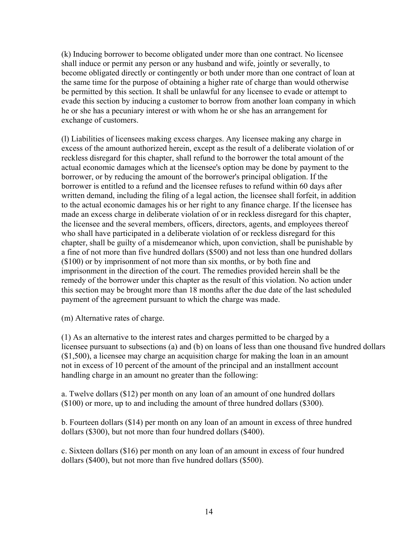(k) Inducing borrower to become obligated under more than one contract. No licensee shall induce or permit any person or any husband and wife, jointly or severally, to become obligated directly or contingently or both under more than one contract of loan at the same time for the purpose of obtaining a higher rate of charge than would otherwise be permitted by this section. It shall be unlawful for any licensee to evade or attempt to evade this section by inducing a customer to borrow from another loan company in which he or she has a pecuniary interest or with whom he or she has an arrangement for exchange of customers.

(l) Liabilities of licensees making excess charges. Any licensee making any charge in excess of the amount authorized herein, except as the result of a deliberate violation of or reckless disregard for this chapter, shall refund to the borrower the total amount of the actual economic damages which at the licensee's option may be done by payment to the borrower, or by reducing the amount of the borrower's principal obligation. If the borrower is entitled to a refund and the licensee refuses to refund within 60 days after written demand, including the filing of a legal action, the licensee shall forfeit, in addition to the actual economic damages his or her right to any finance charge. If the licensee has made an excess charge in deliberate violation of or in reckless disregard for this chapter, the licensee and the several members, officers, directors, agents, and employees thereof who shall have participated in a deliberate violation of or reckless disregard for this chapter, shall be guilty of a misdemeanor which, upon conviction, shall be punishable by a fine of not more than five hundred dollars (\$500) and not less than one hundred dollars (\$100) or by imprisonment of not more than six months, or by both fine and imprisonment in the direction of the court. The remedies provided herein shall be the remedy of the borrower under this chapter as the result of this violation. No action under this section may be brought more than 18 months after the due date of the last scheduled payment of the agreement pursuant to which the charge was made.

(m) Alternative rates of charge.

(1) As an alternative to the interest rates and charges permitted to be charged by a licensee pursuant to subsections (a) and (b) on loans of less than one thousand five hundred dollars (\$1,500), a licensee may charge an acquisition charge for making the loan in an amount not in excess of 10 percent of the amount of the principal and an installment account handling charge in an amount no greater than the following:

a. Twelve dollars (\$12) per month on any loan of an amount of one hundred dollars (\$100) or more, up to and including the amount of three hundred dollars (\$300).

b. Fourteen dollars (\$14) per month on any loan of an amount in excess of three hundred dollars (\$300), but not more than four hundred dollars (\$400).

c. Sixteen dollars (\$16) per month on any loan of an amount in excess of four hundred dollars (\$400), but not more than five hundred dollars (\$500).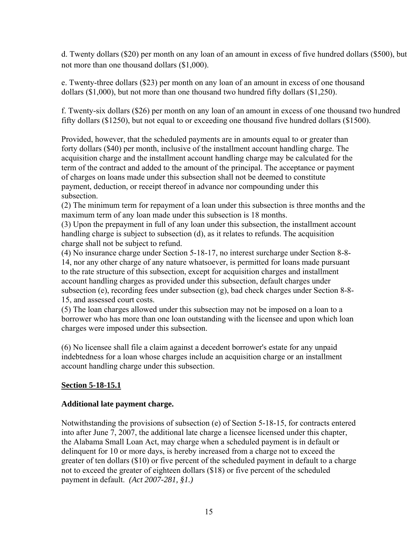d. Twenty dollars (\$20) per month on any loan of an amount in excess of five hundred dollars (\$500), but not more than one thousand dollars (\$1,000).

e. Twenty-three dollars (\$23) per month on any loan of an amount in excess of one thousand dollars (\$1,000), but not more than one thousand two hundred fifty dollars (\$1,250).

f. Twenty-six dollars (\$26) per month on any loan of an amount in excess of one thousand two hundred fifty dollars (\$1250), but not equal to or exceeding one thousand five hundred dollars (\$1500).

 Provided, however, that the scheduled payments are in amounts equal to or greater than forty dollars (\$40) per month, inclusive of the installment account handling charge. The acquisition charge and the installment account handling charge may be calculated for the term of the contract and added to the amount of the principal. The acceptance or payment of charges on loans made under this subsection shall not be deemed to constitute payment, deduction, or receipt thereof in advance nor compounding under this subsection.

(2) The minimum term for repayment of a loan under this subsection is three months and the maximum term of any loan made under this subsection is 18 months.

(3) Upon the prepayment in full of any loan under this subsection, the installment account handling charge is subject to subsection (d), as it relates to refunds. The acquisition charge shall not be subject to refund.

(4) No insurance charge under Section 5-18-17, no interest surcharge under Section 8-8- 14, nor any other charge of any nature whatsoever, is permitted for loans made pursuant to the rate structure of this subsection, except for acquisition charges and installment account handling charges as provided under this subsection, default charges under subsection (e), recording fees under subsection (g), bad check charges under Section 8-8- 15, and assessed court costs.

(5) The loan charges allowed under this subsection may not be imposed on a loan to a borrower who has more than one loan outstanding with the licensee and upon which loan charges were imposed under this subsection.

(6) No licensee shall file a claim against a decedent borrower's estate for any unpaid indebtedness for a loan whose charges include an acquisition charge or an installment account handling charge under this subsection.

## **Section 5-18-15.1**

## **Additional late payment charge.**

Notwithstanding the provisions of subsection (e) of Section 5-18-15, for contracts entered into after June 7, 2007, the additional late charge a licensee licensed under this chapter, the Alabama Small Loan Act, may charge when a scheduled payment is in default or delinquent for 10 or more days, is hereby increased from a charge not to exceed the greater of ten dollars (\$10) or five percent of the scheduled payment in default to a charge not to exceed the greater of eighteen dollars (\$18) or five percent of the scheduled payment in default. *(Act 2007-281, §1.)*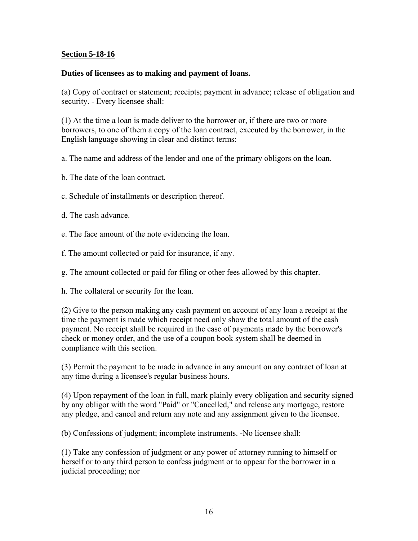#### **Duties of licensees as to making and payment of loans.**

(a) Copy of contract or statement; receipts; payment in advance; release of obligation and security. - Every licensee shall:

(1) At the time a loan is made deliver to the borrower or, if there are two or more borrowers, to one of them a copy of the loan contract, executed by the borrower, in the English language showing in clear and distinct terms:

a. The name and address of the lender and one of the primary obligors on the loan.

- b. The date of the loan contract.
- c. Schedule of installments or description thereof.
- d. The cash advance.
- e. The face amount of the note evidencing the loan.
- f. The amount collected or paid for insurance, if any.
- g. The amount collected or paid for filing or other fees allowed by this chapter.
- h. The collateral or security for the loan.

(2) Give to the person making any cash payment on account of any loan a receipt at the time the payment is made which receipt need only show the total amount of the cash payment. No receipt shall be required in the case of payments made by the borrower's check or money order, and the use of a coupon book system shall be deemed in compliance with this section.

(3) Permit the payment to be made in advance in any amount on any contract of loan at any time during a licensee's regular business hours.

(4) Upon repayment of the loan in full, mark plainly every obligation and security signed by any obligor with the word "Paid" or "Cancelled," and release any mortgage, restore any pledge, and cancel and return any note and any assignment given to the licensee.

(b) Confessions of judgment; incomplete instruments. -No licensee shall:

(1) Take any confession of judgment or any power of attorney running to himself or herself or to any third person to confess judgment or to appear for the borrower in a judicial proceeding; nor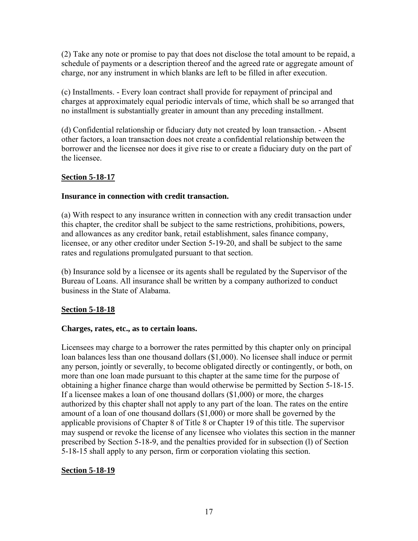(2) Take any note or promise to pay that does not disclose the total amount to be repaid, a schedule of payments or a description thereof and the agreed rate or aggregate amount of charge, nor any instrument in which blanks are left to be filled in after execution.

(c) Installments. - Every loan contract shall provide for repayment of principal and charges at approximately equal periodic intervals of time, which shall be so arranged that no installment is substantially greater in amount than any preceding installment.

(d) Confidential relationship or fiduciary duty not created by loan transaction. - Absent other factors, a loan transaction does not create a confidential relationship between the borrower and the licensee nor does it give rise to or create a fiduciary duty on the part of the licensee.

## **Section 5-18-17**

## **Insurance in connection with credit transaction.**

(a) With respect to any insurance written in connection with any credit transaction under this chapter, the creditor shall be subject to the same restrictions, prohibitions, powers, and allowances as any creditor bank, retail establishment, sales finance company, licensee, or any other creditor under Section 5-19-20, and shall be subject to the same rates and regulations promulgated pursuant to that section.

(b) Insurance sold by a licensee or its agents shall be regulated by the Supervisor of the Bureau of Loans. All insurance shall be written by a company authorized to conduct business in the State of Alabama.

## **Section 5-18-18**

## **Charges, rates, etc., as to certain loans.**

Licensees may charge to a borrower the rates permitted by this chapter only on principal loan balances less than one thousand dollars (\$1,000). No licensee shall induce or permit any person, jointly or severally, to become obligated directly or contingently, or both, on more than one loan made pursuant to this chapter at the same time for the purpose of obtaining a higher finance charge than would otherwise be permitted by Section 5-18-15. If a licensee makes a loan of one thousand dollars (\$1,000) or more, the charges authorized by this chapter shall not apply to any part of the loan. The rates on the entire amount of a loan of one thousand dollars (\$1,000) or more shall be governed by the applicable provisions of Chapter 8 of Title 8 or Chapter 19 of this title. The supervisor may suspend or revoke the license of any licensee who violates this section in the manner prescribed by Section 5-18-9, and the penalties provided for in subsection (l) of Section 5-18-15 shall apply to any person, firm or corporation violating this section.

## **Section 5-18-19**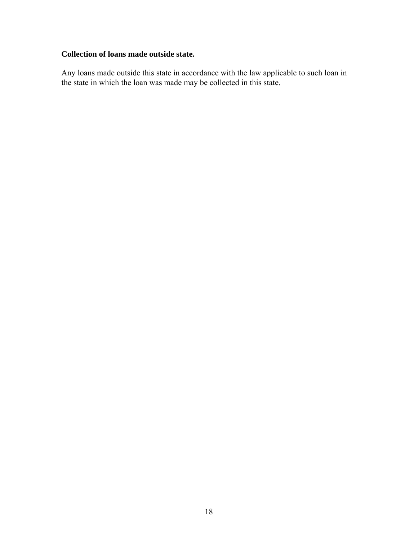## **Collection of loans made outside state.**

Any loans made outside this state in accordance with the law applicable to such loan in the state in which the loan was made may be collected in this state.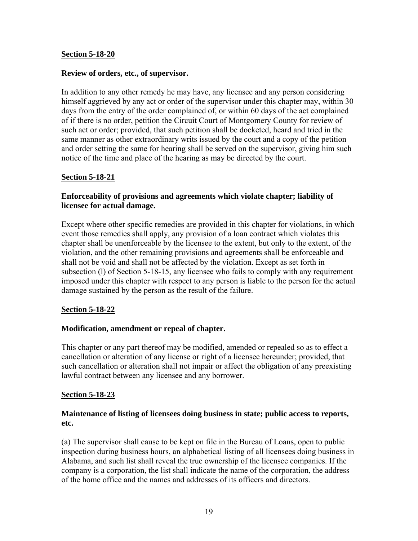### **Review of orders, etc., of supervisor.**

In addition to any other remedy he may have, any licensee and any person considering himself aggrieved by any act or order of the supervisor under this chapter may, within 30 days from the entry of the order complained of, or within 60 days of the act complained of if there is no order, petition the Circuit Court of Montgomery County for review of such act or order; provided, that such petition shall be docketed, heard and tried in the same manner as other extraordinary writs issued by the court and a copy of the petition and order setting the same for hearing shall be served on the supervisor, giving him such notice of the time and place of the hearing as may be directed by the court.

## **Section 5-18-21**

### **Enforceability of provisions and agreements which violate chapter; liability of licensee for actual damage.**

Except where other specific remedies are provided in this chapter for violations, in which event those remedies shall apply, any provision of a loan contract which violates this chapter shall be unenforceable by the licensee to the extent, but only to the extent, of the violation, and the other remaining provisions and agreements shall be enforceable and shall not be void and shall not be affected by the violation. Except as set forth in subsection (l) of Section 5-18-15, any licensee who fails to comply with any requirement imposed under this chapter with respect to any person is liable to the person for the actual damage sustained by the person as the result of the failure.

## **Section 5-18-22**

## **Modification, amendment or repeal of chapter.**

This chapter or any part thereof may be modified, amended or repealed so as to effect a cancellation or alteration of any license or right of a licensee hereunder; provided, that such cancellation or alteration shall not impair or affect the obligation of any preexisting lawful contract between any licensee and any borrower.

#### **Section 5-18-23**

### **Maintenance of listing of licensees doing business in state; public access to reports, etc.**

(a) The supervisor shall cause to be kept on file in the Bureau of Loans, open to public inspection during business hours, an alphabetical listing of all licensees doing business in Alabama, and such list shall reveal the true ownership of the licensee companies. If the company is a corporation, the list shall indicate the name of the corporation, the address of the home office and the names and addresses of its officers and directors.